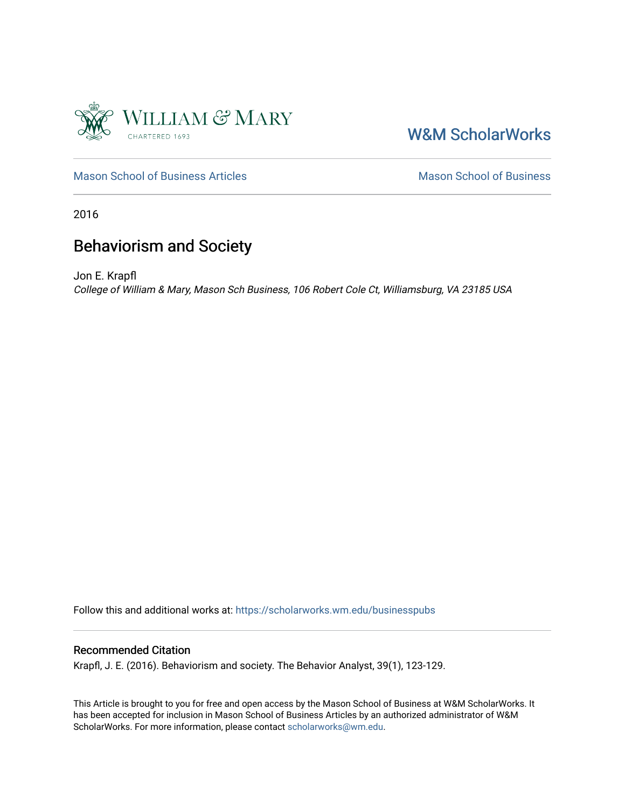

# [W&M ScholarWorks](https://scholarworks.wm.edu/)

### [Mason School of Business Articles](https://scholarworks.wm.edu/businesspubs) [Mason School of Business](https://scholarworks.wm.edu/business) Mason School of Business

2016

# Behaviorism and Society

Jon E. Krapfl College of William & Mary, Mason Sch Business, 106 Robert Cole Ct, Williamsburg, VA 23185 USA

Follow this and additional works at: [https://scholarworks.wm.edu/businesspubs](https://scholarworks.wm.edu/businesspubs?utm_source=scholarworks.wm.edu%2Fbusinesspubs%2F8&utm_medium=PDF&utm_campaign=PDFCoverPages) 

#### Recommended Citation

Krapfl, J. E. (2016). Behaviorism and society. The Behavior Analyst, 39(1), 123-129.

This Article is brought to you for free and open access by the Mason School of Business at W&M ScholarWorks. It has been accepted for inclusion in Mason School of Business Articles by an authorized administrator of W&M ScholarWorks. For more information, please contact [scholarworks@wm.edu.](mailto:scholarworks@wm.edu)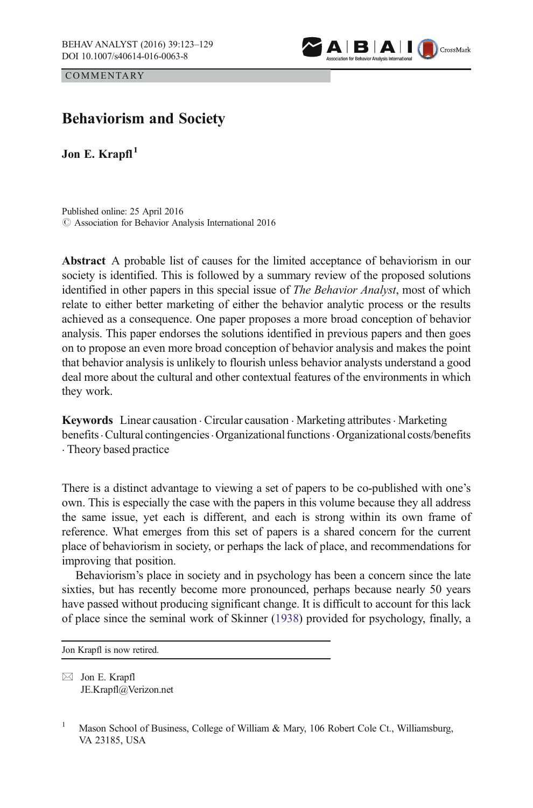COMMENTARY



## Behaviorism and Society

Jon E. Krapfl<sup>1</sup>

Published online: 25 April 2016  $\oslash$  Association for Behavior Analysis International 2016

Abstract A probable list of causes for the limited acceptance of behaviorism in our society is identified. This is followed by a summary review of the proposed solutions identified in other papers in this special issue of *The Behavior Analyst*, most of which relate to either better marketing of either the behavior analytic process or the results achieved as a consequence. One paper proposes a more broad conception of behavior analysis. This paper endorses the solutions identified in previous papers and then goes on to propose an even more broad conception of behavior analysis and makes the point that behavior analysis is unlikely to flourish unless behavior analysts understand a good deal more about the cultural and other contextual features of the environments in which they work.

Keywords Linear causation · Circular causation · Marketing attributes · Marketing benefits Cultural contingencies Organizational functions Organizational costs/benefits . Theory based practice

There is a distinct advantage to viewing a set of papers to be co-published with one's own. This is especially the case with the papers in this volume because they all address the same issue, yet each is different, and each is strong within its own frame of reference. What emerges from this set of papers is a shared concern for the current place of behaviorism in society, or perhaps the lack of place, and recommendations for improving that position.

Behaviorism's place in society and in psychology has been a concern since the late sixties, but has recently become more pronounced, perhaps because nearly 50 years have passed without producing significant change. It is difficult to account for this lack of place since the seminal work of Skinner ([1938](#page-7-0)) provided for psychology, finally, a

Jon Krapfl is now retired.

 $\boxtimes$  Jon E. Krapfl JE.Krapfl@Verizon.net

<sup>&</sup>lt;sup>1</sup> Mason School of Business, College of William & Mary, 106 Robert Cole Ct., Williamsburg, VA 23185, USA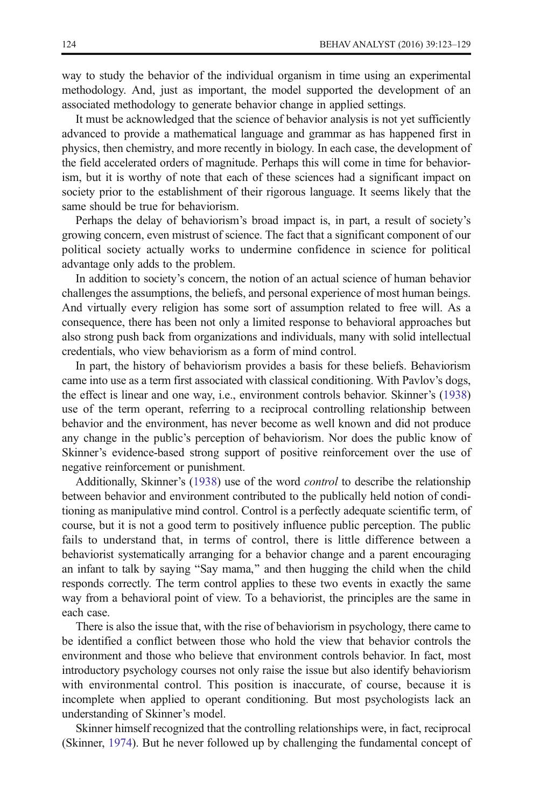way to study the behavior of the individual organism in time using an experimental methodology. And, just as important, the model supported the development of an associated methodology to generate behavior change in applied settings.

It must be acknowledged that the science of behavior analysis is not yet sufficiently advanced to provide a mathematical language and grammar as has happened first in physics, then chemistry, and more recently in biology. In each case, the development of the field accelerated orders of magnitude. Perhaps this will come in time for behaviorism, but it is worthy of note that each of these sciences had a significant impact on society prior to the establishment of their rigorous language. It seems likely that the same should be true for behaviorism.

Perhaps the delay of behaviorism's broad impact is, in part, a result of society's growing concern, even mistrust of science. The fact that a significant component of our political society actually works to undermine confidence in science for political advantage only adds to the problem.

In addition to society's concern, the notion of an actual science of human behavior challenges the assumptions, the beliefs, and personal experience of most human beings. And virtually every religion has some sort of assumption related to free will. As a consequence, there has been not only a limited response to behavioral approaches but also strong push back from organizations and individuals, many with solid intellectual credentials, who view behaviorism as a form of mind control.

In part, the history of behaviorism provides a basis for these beliefs. Behaviorism came into use as a term first associated with classical conditioning. With Pavlov's dogs, the effect is linear and one way, i.e., environment controls behavior. Skinner's ([1938](#page-7-0)) use of the term operant, referring to a reciprocal controlling relationship between behavior and the environment, has never become as well known and did not produce any change in the public's perception of behaviorism. Nor does the public know of Skinner's evidence-based strong support of positive reinforcement over the use of negative reinforcement or punishment.

Additionally, Skinner's [\(1938\)](#page-7-0) use of the word control to describe the relationship between behavior and environment contributed to the publically held notion of conditioning as manipulative mind control. Control is a perfectly adequate scientific term, of course, but it is not a good term to positively influence public perception. The public fails to understand that, in terms of control, there is little difference between a behaviorist systematically arranging for a behavior change and a parent encouraging an infant to talk by saying "Say mama," and then hugging the child when the child responds correctly. The term control applies to these two events in exactly the same way from a behavioral point of view. To a behaviorist, the principles are the same in each case.

There is also the issue that, with the rise of behaviorism in psychology, there came to be identified a conflict between those who hold the view that behavior controls the environment and those who believe that environment controls behavior. In fact, most introductory psychology courses not only raise the issue but also identify behaviorism with environmental control. This position is inaccurate, of course, because it is incomplete when applied to operant conditioning. But most psychologists lack an understanding of Skinner's model.

Skinner himself recognized that the controlling relationships were, in fact, reciprocal (Skinner, [1974\)](#page-7-0). But he never followed up by challenging the fundamental concept of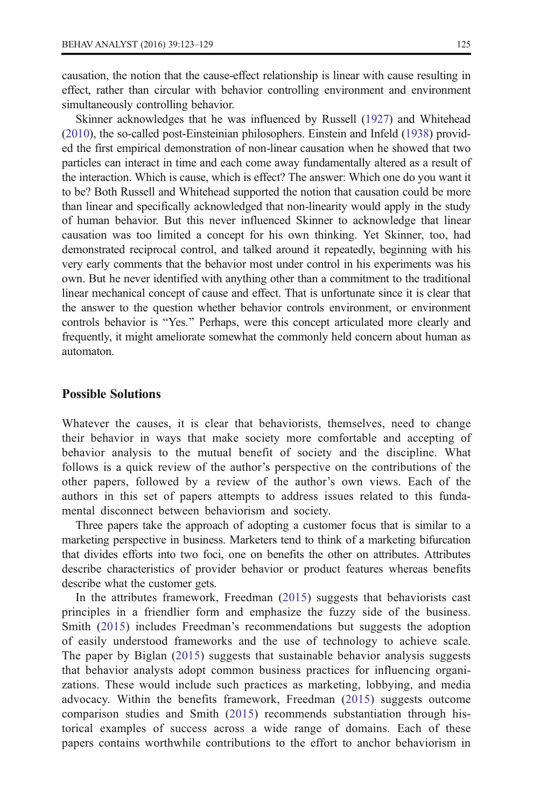causation, the notion that the cause-effect relationship is linear with cause resulting in effect, rather than circular with behavior controlling environment and environment simultaneously controlling behavior.

Skinner acknowledges that he was influenced by Russell [\(1927\)](#page-7-0) and Whitehead [\(2010\)](#page-7-0), the so-called post-Einsteinian philosophers. Einstein and Infeld [\(1938\)](#page-7-0) provided the first empirical demonstration of non-linear causation when he showed that two particles can interact in time and each come away fundamentally altered as a result of the interaction. Which is cause, which is effect? The answer: Which one do you want it to be? Both Russell and Whitehead supported the notion that causation could be more than linear and specifically acknowledged that non-linearity would apply in the study of human behavior. But this never influenced Skinner to acknowledge that linear causation was too limited a concept for his own thinking. Yet Skinner, too, had demonstrated reciprocal control, and talked around it repeatedly, beginning with his very early comments that the behavior most under control in his experiments was his own. But he never identified with anything other than a commitment to the traditional linear mechanical concept of cause and effect. That is unfortunate since it is clear that the answer to the question whether behavior controls environment, or environment controls behavior is "Yes." Perhaps, were this concept articulated more clearly and frequently, it might ameliorate somewhat the commonly held concern about human as automaton.

#### Possible Solutions

Whatever the causes, it is clear that behaviorists, themselves, need to change their behavior in ways that make society more comfortable and accepting of behavior analysis to the mutual benefit of society and the discipline. What follows is a quick review of the author's perspective on the contributions of the other papers, followed by a review of the author's own views. Each of the authors in this set of papers attempts to address issues related to this fundamental disconnect between behaviorism and society.

Three papers take the approach of adopting a customer focus that is similar to a marketing perspective in business. Marketers tend to think of a marketing bifurcation that divides efforts into two foci, one on benefits the other on attributes. Attributes describe characteristics of provider behavior or product features whereas benefits describe what the customer gets.

In the attributes framework, Freedman ([2015](#page-7-0)) suggests that behaviorists cast principles in a friendlier form and emphasize the fuzzy side of the business. Smith [\(2015\)](#page-7-0) includes Freedman's recommendations but suggests the adoption of easily understood frameworks and the use of technology to achieve scale. The paper by Biglan ([2015](#page-7-0)) suggests that sustainable behavior analysis suggests that behavior analysts adopt common business practices for influencing organizations. These would include such practices as marketing, lobbying, and media advocacy. Within the benefits framework, Freedman ([2015](#page-7-0)) suggests outcome comparison studies and Smith [\(2015\)](#page-7-0) recommends substantiation through historical examples of success across a wide range of domains. Each of these papers contains worthwhile contributions to the effort to anchor behaviorism in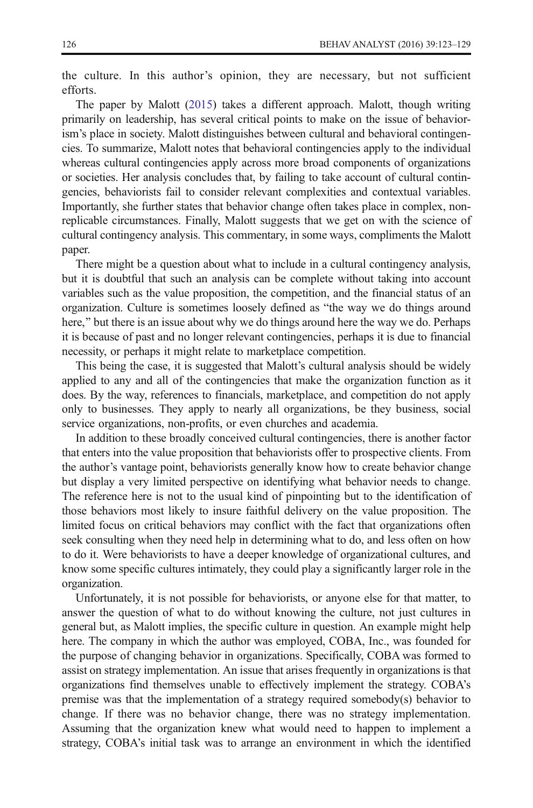the culture. In this author's opinion, they are necessary, but not sufficient efforts.

The paper by Malott ([2015](#page-7-0)) takes a different approach. Malott, though writing primarily on leadership, has several critical points to make on the issue of behaviorism's place in society. Malott distinguishes between cultural and behavioral contingencies. To summarize, Malott notes that behavioral contingencies apply to the individual whereas cultural contingencies apply across more broad components of organizations or societies. Her analysis concludes that, by failing to take account of cultural contingencies, behaviorists fail to consider relevant complexities and contextual variables. Importantly, she further states that behavior change often takes place in complex, nonreplicable circumstances. Finally, Malott suggests that we get on with the science of cultural contingency analysis. This commentary, in some ways, compliments the Malott paper.

There might be a question about what to include in a cultural contingency analysis, but it is doubtful that such an analysis can be complete without taking into account variables such as the value proposition, the competition, and the financial status of an organization. Culture is sometimes loosely defined as "the way we do things around here," but there is an issue about why we do things around here the way we do. Perhaps it is because of past and no longer relevant contingencies, perhaps it is due to financial necessity, or perhaps it might relate to marketplace competition.

This being the case, it is suggested that Malott's cultural analysis should be widely applied to any and all of the contingencies that make the organization function as it does. By the way, references to financials, marketplace, and competition do not apply only to businesses. They apply to nearly all organizations, be they business, social service organizations, non-profits, or even churches and academia.

In addition to these broadly conceived cultural contingencies, there is another factor that enters into the value proposition that behaviorists offer to prospective clients. From the author's vantage point, behaviorists generally know how to create behavior change but display a very limited perspective on identifying what behavior needs to change. The reference here is not to the usual kind of pinpointing but to the identification of those behaviors most likely to insure faithful delivery on the value proposition. The limited focus on critical behaviors may conflict with the fact that organizations often seek consulting when they need help in determining what to do, and less often on how to do it. Were behaviorists to have a deeper knowledge of organizational cultures, and know some specific cultures intimately, they could play a significantly larger role in the organization.

Unfortunately, it is not possible for behaviorists, or anyone else for that matter, to answer the question of what to do without knowing the culture, not just cultures in general but, as Malott implies, the specific culture in question. An example might help here. The company in which the author was employed, COBA, Inc., was founded for the purpose of changing behavior in organizations. Specifically, COBA was formed to assist on strategy implementation. An issue that arises frequently in organizations is that organizations find themselves unable to effectively implement the strategy. COBA's premise was that the implementation of a strategy required somebody(s) behavior to change. If there was no behavior change, there was no strategy implementation. Assuming that the organization knew what would need to happen to implement a strategy, COBA's initial task was to arrange an environment in which the identified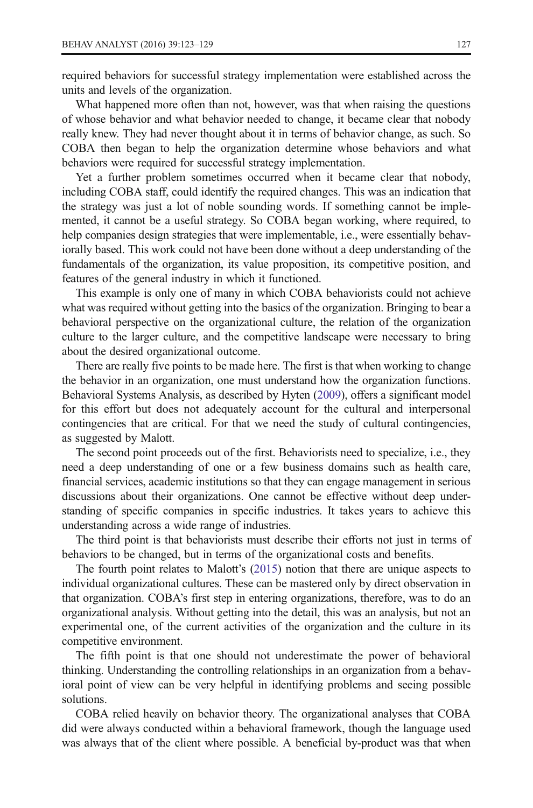required behaviors for successful strategy implementation were established across the units and levels of the organization.

What happened more often than not, however, was that when raising the questions of whose behavior and what behavior needed to change, it became clear that nobody really knew. They had never thought about it in terms of behavior change, as such. So COBA then began to help the organization determine whose behaviors and what behaviors were required for successful strategy implementation.

Yet a further problem sometimes occurred when it became clear that nobody, including COBA staff, could identify the required changes. This was an indication that the strategy was just a lot of noble sounding words. If something cannot be implemented, it cannot be a useful strategy. So COBA began working, where required, to help companies design strategies that were implementable, i.e., were essentially behaviorally based. This work could not have been done without a deep understanding of the fundamentals of the organization, its value proposition, its competitive position, and features of the general industry in which it functioned.

This example is only one of many in which COBA behaviorists could not achieve what was required without getting into the basics of the organization. Bringing to bear a behavioral perspective on the organizational culture, the relation of the organization culture to the larger culture, and the competitive landscape were necessary to bring about the desired organizational outcome.

There are really five points to be made here. The first is that when working to change the behavior in an organization, one must understand how the organization functions. Behavioral Systems Analysis, as described by Hyten ([2009](#page-7-0)), offers a significant model for this effort but does not adequately account for the cultural and interpersonal contingencies that are critical. For that we need the study of cultural contingencies, as suggested by Malott.

The second point proceeds out of the first. Behaviorists need to specialize, i.e., they need a deep understanding of one or a few business domains such as health care, financial services, academic institutions so that they can engage management in serious discussions about their organizations. One cannot be effective without deep understanding of specific companies in specific industries. It takes years to achieve this understanding across a wide range of industries.

The third point is that behaviorists must describe their efforts not just in terms of behaviors to be changed, but in terms of the organizational costs and benefits.

The fourth point relates to Malott's [\(2015\)](#page-7-0) notion that there are unique aspects to individual organizational cultures. These can be mastered only by direct observation in that organization. COBA's first step in entering organizations, therefore, was to do an organizational analysis. Without getting into the detail, this was an analysis, but not an experimental one, of the current activities of the organization and the culture in its competitive environment.

The fifth point is that one should not underestimate the power of behavioral thinking. Understanding the controlling relationships in an organization from a behavioral point of view can be very helpful in identifying problems and seeing possible solutions.

COBA relied heavily on behavior theory. The organizational analyses that COBA did were always conducted within a behavioral framework, though the language used was always that of the client where possible. A beneficial by-product was that when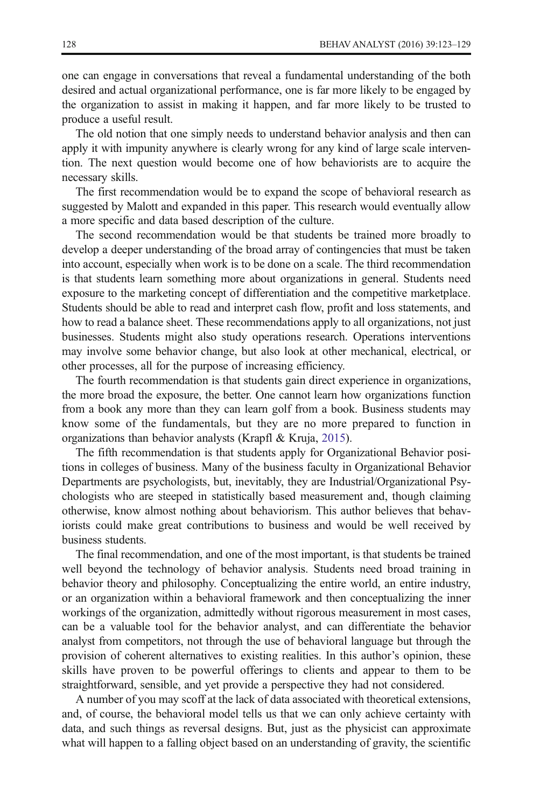one can engage in conversations that reveal a fundamental understanding of the both desired and actual organizational performance, one is far more likely to be engaged by the organization to assist in making it happen, and far more likely to be trusted to produce a useful result.

The old notion that one simply needs to understand behavior analysis and then can apply it with impunity anywhere is clearly wrong for any kind of large scale intervention. The next question would become one of how behaviorists are to acquire the necessary skills.

The first recommendation would be to expand the scope of behavioral research as suggested by Malott and expanded in this paper. This research would eventually allow a more specific and data based description of the culture.

The second recommendation would be that students be trained more broadly to develop a deeper understanding of the broad array of contingencies that must be taken into account, especially when work is to be done on a scale. The third recommendation is that students learn something more about organizations in general. Students need exposure to the marketing concept of differentiation and the competitive marketplace. Students should be able to read and interpret cash flow, profit and loss statements, and how to read a balance sheet. These recommendations apply to all organizations, not just businesses. Students might also study operations research. Operations interventions may involve some behavior change, but also look at other mechanical, electrical, or other processes, all for the purpose of increasing efficiency.

The fourth recommendation is that students gain direct experience in organizations, the more broad the exposure, the better. One cannot learn how organizations function from a book any more than they can learn golf from a book. Business students may know some of the fundamentals, but they are no more prepared to function in organizations than behavior analysts (Krapfl & Kruja, [2015\)](#page-7-0).

The fifth recommendation is that students apply for Organizational Behavior positions in colleges of business. Many of the business faculty in Organizational Behavior Departments are psychologists, but, inevitably, they are Industrial/Organizational Psychologists who are steeped in statistically based measurement and, though claiming otherwise, know almost nothing about behaviorism. This author believes that behaviorists could make great contributions to business and would be well received by business students.

The final recommendation, and one of the most important, is that students be trained well beyond the technology of behavior analysis. Students need broad training in behavior theory and philosophy. Conceptualizing the entire world, an entire industry, or an organization within a behavioral framework and then conceptualizing the inner workings of the organization, admittedly without rigorous measurement in most cases, can be a valuable tool for the behavior analyst, and can differentiate the behavior analyst from competitors, not through the use of behavioral language but through the provision of coherent alternatives to existing realities. In this author's opinion, these skills have proven to be powerful offerings to clients and appear to them to be straightforward, sensible, and yet provide a perspective they had not considered.

A number of you may scoff at the lack of data associated with theoretical extensions, and, of course, the behavioral model tells us that we can only achieve certainty with data, and such things as reversal designs. But, just as the physicist can approximate what will happen to a falling object based on an understanding of gravity, the scientific